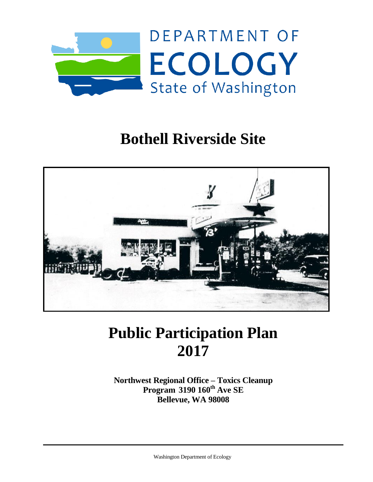

## **Bothell Riverside Site**



# **Public Participation Plan 2017**

**Northwest Regional Office – Toxics Cleanup Program 3190 160th Ave SE Bellevue, WA 98008**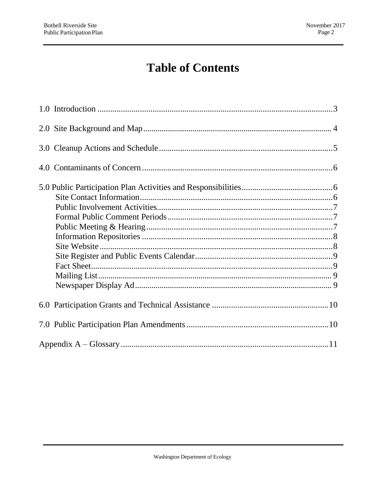## **Table of Contents**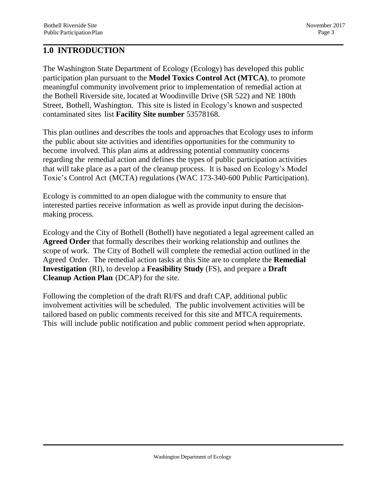#### <span id="page-2-0"></span>**1.0 INTRODUCTION**

The Washington State Department of Ecology (Ecology) has developed this public participation plan pursuant to the **Model Toxics Control Act (MTCA)**, to promote meaningful community involvement prior to implementation of remedial action at the Bothell Riverside site, located at Woodinville Drive (SR 522) and NE 180th Street, Bothell, Washington. This site is listed in Ecology's known and suspected contaminated sites list **Facility Site number** 53578168.

This plan outlines and describes the tools and approaches that Ecology uses to inform the public about site activities and identifies opportunities for the community to become involved. This plan aims at addressing potential community concerns regarding the remedial action and defines the types of public participation activities that will take place as a part of the cleanup process. It is based on Ecology's Model Toxic's Control Act (MCTA) regulations (WAC 173-340-600 Public Participation).

Ecology is committed to an open dialogue with the community to ensure that interested parties receive information as well as provide input during the decisionmaking process.

Ecology and the City of Bothell (Bothell) have negotiated a legal agreement called an **Agreed Order** that formally describes their working relationship and outlines the scope of work. The City of Bothell will complete the remedial action outlined in the Agreed Order. The remedial action tasks at this Site are to complete the **Remedial Investigation** (RI), to develop a **Feasibility Study** (FS), and prepare a **Draft Cleanup Action Plan** (DCAP) for the site.

Following the completion of the draft RI/FS and draft CAP, additional public involvement activities will be scheduled. The public involvement activities will be tailored based on public comments received for this site and MTCA requirements. This will include public notification and public comment period when appropriate.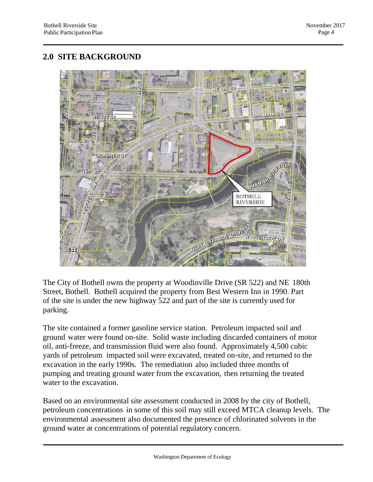#### **2.0 SITE BACKGROUND**



The City of Bothell owns the property at Woodinville Drive (SR 522) and NE 180th Street, Bothell. Bothell acquired the property from Best Western Inn in 1990. Part of the site is under the new highway 522 and part of the site is currently used for parking.

The site contained a former gasoline service station. Petroleum impacted soil and ground water were found on-site. Solid waste including discarded containers of motor oil, anti-freeze, and transmission fluid were also found. Approximately 4,500 cubic yards of petroleum impacted soil were excavated, treated on-site, and returned to the excavation in the early 1990s. The remediation also included three months of pumping and treating ground water from the excavation, then returning the treated water to the excavation.

Based on an environmental site assessment conducted in 2008 by the city of Bothell, petroleum concentrations in some of this soil may still exceed MTCA cleanup levels. The environmental assessment also documented the presence of chlorinated solvents in the ground water at concentrations of potential regulatory concern.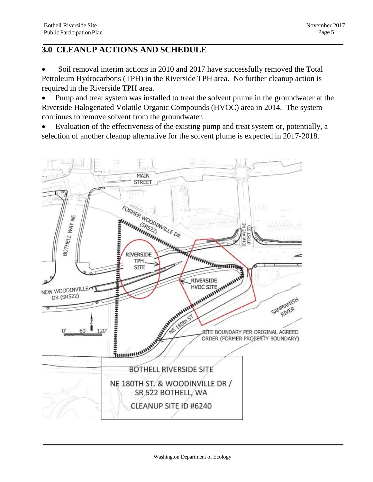### **3.0 CLEANUP ACTIONS AND SCHEDULE**

 Soil removal interim actions in 2010 and 2017 have successfully removed the Total Petroleum Hydrocarbons (TPH) in the Riverside TPH area. No further cleanup action is required in the Riverside TPH area.

• Pump and treat system was installed to treat the solvent plume in the groundwater at the Riverside Halogenated Volatile Organic Compounds (HVOC) area in 2014. The system continues to remove solvent from the groundwater.

 Evaluation of the effectiveness of the existing pump and treat system or, potentially, a selection of another cleanup alternative for the solvent plume is expected in 2017-2018.

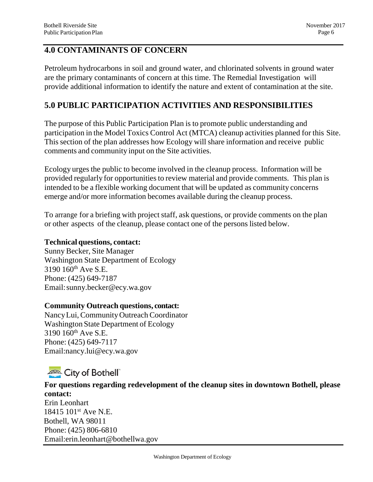#### **4.0 CONTAMINANTS OF CONCERN**

Petroleum hydrocarbons in soil and ground water, and chlorinated solvents in ground water are the primary contaminants of concern at this time. The Remedial Investigation will provide additional information to identify the nature and extent of contamination at the site.

#### **5.0 PUBLIC PARTICIPATION ACTIVITIES AND RESPONSIBILITIES**

The purpose of this Public Participation Plan is to promote public understanding and participation in the Model Toxics Control Act (MTCA) cleanup activities planned for this Site. This section of the plan addresses how Ecology will share information and receive public comments and community input on the Site activities.

Ecology urges the public to become involved in the cleanup process. Information will be provided regularly for opportunities to review material and provide comments. This plan is intended to be a flexible working document that will be updated as community concerns emerge and/or more information becomes available during the cleanup process.

To arrange for a briefing with project staff, ask questions, or provide comments on the plan or other aspects of the cleanup, please contact one of the persons listed below.

#### **Technical questions, contact:**

Sunny Becker, Site Manager Washington State Department of Ecology 3190 160<sup>th</sup> Ave S.E. Phone: (425) 649-7187 Email[:sunny.becker@ecy.wa.gov](mailto:sunny.becker@ecy.wa.gov)

#### **Community Outreach questions, contact:**

NancyLui,CommunityOutreach Coordinator Washington State Department of Ecology 3190 160th Ave S.E. Phone: (425) 649-7117 [Email:nancy.lui@ecy.wa.gov](mailto:nancy.lui@ecy.wa.gov)

## **ARA** City of Bothell

#### **For questions regarding redevelopment of the cleanup sites in downtown Bothell, please contact:**

Erin Leonhart 18415 101st Ave N.E. Bothell, WA 98011 Phone: (425) 806-6810 Email:erin.leonhart@bothellwa.gov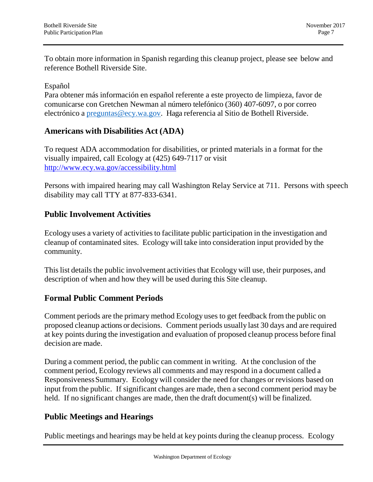To obtain more information in Spanish regarding this cleanup project, please see below and reference Bothell Riverside Site.

#### Español

Para obtener más información en español referente a este proyecto de limpieza, favor de comunicarse con Gretchen Newman al número telefónico (360) 407-6097, o por correo electrónico a preguntas@ecy.wa.gov. Haga referencia al Sitio de Bothell Riverside.

#### **Americans with Disabilities Act (ADA)**

To request ADA accommodation for disabilities, or printed materials in a format for the visually impaired, call Ecology at (425) 649-7117 or visit <http://www.ecy.wa.gov/accessibility.html>

Persons with impaired hearing may call Washington Relay Service at 711. Persons with speech disability may call TTY at 877-833-6341.

#### **Public Involvement Activities**

Ecology uses a variety of activities to facilitate public participation in the investigation and cleanup of contaminated sites. Ecology will take into consideration input provided by the community.

This list details the public involvement activities that Ecology will use, their purposes, and description of when and how they will be used during this Site cleanup.

#### **Formal Public Comment Periods**

Comment periods are the primary method Ecology uses to get feedback from the public on proposed cleanup actions or decisions. Comment periods usually last 30 days and are required at key points during the investigation and evaluation of proposed cleanup process before final decision are made.

During a comment period, the public can comment in writing. At the conclusion of the comment period, Ecology reviews all comments and may respond in a document called a ResponsivenessSummary. Ecology will consider the need for changes or revisions based on input from the public. If significant changes are made, then a second comment period may be held. If no significant changes are made, then the draft document(s) will be finalized.

#### **Public Meetings and Hearings**

Public meetings and hearings may be held at key points during the cleanup process. Ecology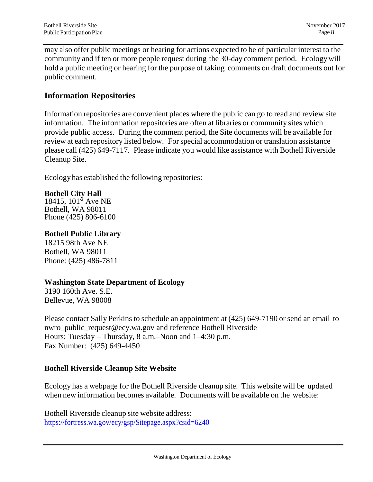may also offer public meetings or hearing for actions expected to be of particular interest to the community and if ten or more people request during the 30-day comment period. Ecologywill hold a public meeting or hearing for the purpose of taking comments on draft documents out for public comment.

#### **Information Repositories**

Information repositories are convenient places where the public can go to read and review site information. The information repositories are often at libraries or community sites which provide public access. During the comment period, the Site documents will be available for review at each repository listed below. For special accommodation or translation assistance please call (425) 649-7117. Please indicate you would like assistance with Bothell Riverside Cleanup Site.

Ecologyhas established the following repositories:

#### **Bothell City Hall**

18415, 101<sup>st</sup> Ave NE Bothell, WA 98011 Phone (425) 806-6100

#### **Bothell Public Library**

18215 98th Ave NE Bothell, WA 98011 Phone: (425) 486-7811

#### **Washington State Department of Ecology**

3190 160th Ave. S.E. Bellevue, WA 98008

Please contact Sally Perkins to schedule an appointment at (425) 649-7190 or send an email to nwro public request@ecy.wa.gov and reference Bothell Riverside Hours: Tuesday – Thursday, 8 a.m.–Noon and 1–4:30 p.m. Fax Number: (425) 649-4450

#### **Bothell Riverside Cleanup Site Website**

Ecology has a webpage for the Bothell Riverside cleanup site. This website will be updated when new information becomes available. Documents will be available on the website:

Bothell Riverside cleanup site website address: https://fortress.wa.gov/ecy/gsp/Sitepage.aspx?csid=6240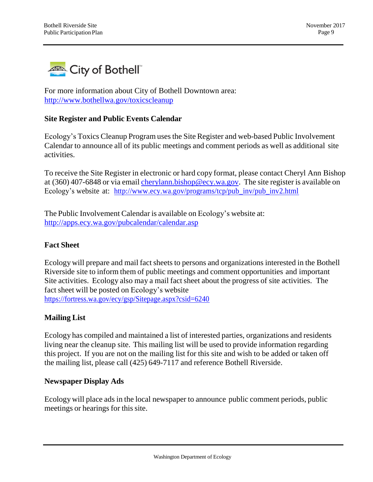

For more information about City of Bothell Downtown area: <http://www.bothellwa.gov/toxicscleanup>

#### **Site Register and Public Events Calendar**

Ecology's Toxics Cleanup Program uses the Site Register and web-based Public Involvement Calendar to announce all of its public meetings and comment periods as well as additional site activities.

To receive the Site Register in electronic or hard copy format, please contact Cheryl Ann Bishop at (360) 407-6848 or via email [cherylann.bishop@ecy.wa.gov](mailto:cherylann.bishop@ecy.wa.gov)[.](mailto:seth.preston@ecy.wa.gov) The site register is available on Ecology's website at: [http://www.ecy.wa.gov/programs/tcp/pub\\_inv/pub\\_inv2.html](http://www.ecy.wa.gov/programs/tcp/pub_inv/pub_inv2.html)

The Public Involvement Calendar is available on Ecology's website at: <http://apps.ecy.wa.gov/pubcalendar/calendar.asp>

#### **Fact Sheet**

Ecology will prepare and mail fact sheets to persons and organizations interested in the Bothell Riverside site to inform them of public meetings and comment opportunities and important Site activities. Ecology also may a mail fact sheet about the progress of site activities. The fact sheet will be posted on Ecology's website <https://fortress.wa.gov/ecy/gsp/Sitepage.aspx?csid=6240>

#### **Mailing List**

Ecology has compiled and maintained a list of interested parties, organizations and residents living near the cleanup site. This mailing list will be used to provide information regarding this project. If you are not on the mailing list for this site and wish to be added or taken off the mailing list, please call (425) 649-7117 and reference Bothell Riverside.

#### **Newspaper Display Ads**

Ecology will place ads in the local newspaper to announce public comment periods, public meetings or hearings for this site.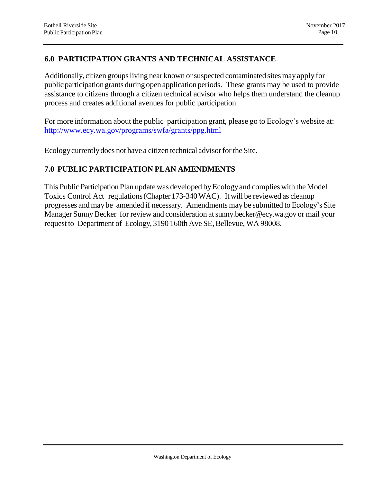#### **6.0 PARTICIPATION GRANTS AND TECHNICAL ASSISTANCE**

Additionally, citizen groups living near known or suspected contaminated sites may apply for public participation grants during open application periods. These grants may be used to provide assistance to citizens through a citizen technical advisor who helps them understand the cleanup process and creates additional avenues for public participation.

For more information about the public participation grant, please go to Ecology's website at: <http://www.ecy.wa.gov/programs/swfa/grants/ppg.html>

Ecologycurrentlydoes not have a citizen technical advisorfor the Site.

#### **7.0 PUBLIC PARTICIPATION PLAN AMENDMENTS**

This Public Participation Plan update was developed by Ecology and complies with the Model Toxics Control Act regulations(Chapter173-340WAC). It will be reviewed as cleanup progresses and may be amended if necessary. Amendments may be submitted to Ecology's Site Manager Sunny Becker for review and consideration at sunny.becker@ecy.wa.gov or mail your request to Department of Ecology, 3190 160th Ave SE, Bellevue, WA 98008.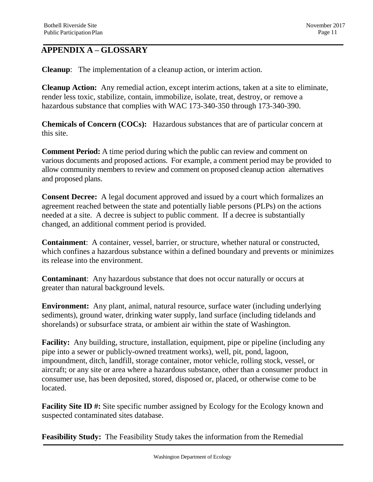### **APPENDIX A – GLOSSARY**

**Cleanup**: The implementation of a cleanup action, or interim action.

**Cleanup Action:** Any remedial action, except interim actions, taken at a site to eliminate, render less toxic, stabilize, contain, immobilize, isolate, treat, destroy, or remove a hazardous substance that complies with WAC 173-340-350 through 173-340-390.

**Chemicals of Concern (COCs):** Hazardous substances that are of particular concern at this site.

**Comment Period:** A time period during which the public can review and comment on various documents and proposed actions. For example, a comment period may be provided to allow community members to review and comment on proposed cleanup action alternatives and proposed plans.

**Consent Decree:** A legal document approved and issued by a court which formalizes an agreement reached between the state and potentially liable persons (PLPs) on the actions needed at a site. A decree is subject to public comment. If a decree is substantially changed, an additional comment period is provided.

**Containment**: A container, vessel, barrier, or structure, whether natural or constructed, which confines a hazardous substance within a defined boundary and prevents or minimizes its release into the environment.

**Contaminant**: Any hazardous substance that does not occur naturally or occurs at greater than natural background levels.

**Environment:** Any plant, animal, natural resource, surface water (including underlying sediments), ground water, drinking water supply, land surface (including tidelands and shorelands) or subsurface strata, or ambient air within the state of Washington.

**Facility:** Any building, structure, installation, equipment, pipe or pipeline (including any pipe into a sewer or publicly-owned treatment works), well, pit, pond, lagoon, impoundment, ditch, landfill, storage container, motor vehicle, rolling stock, vessel, or aircraft; or any site or area where a hazardous substance, other than a consumer product in consumer use, has been deposited, stored, disposed or, placed, or otherwise come to be located.

**Facility Site ID #:** Site specific number assigned by Ecology for the Ecology known and suspected contaminated sites database.

**Feasibility Study:** The Feasibility Study takes the information from the Remedial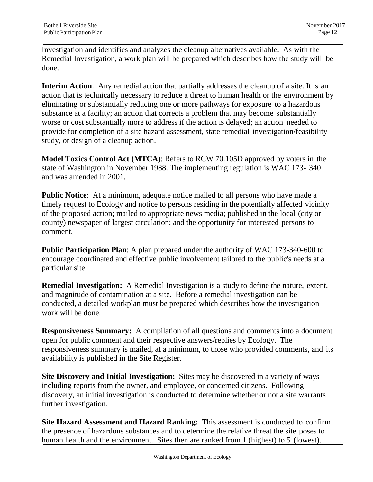Investigation and identifies and analyzes the cleanup alternatives available. As with the Remedial Investigation, a work plan will be prepared which describes how the study will be done.

**Interim Action**: Any remedial action that partially addresses the cleanup of a site. It is an action that is technically necessary to reduce a threat to human health or the environment by eliminating or substantially reducing one or more pathways for exposure to a hazardous substance at a facility; an action that corrects a problem that may become substantially worse or cost substantially more to address if the action is delayed; an action needed to provide for completion of a site hazard assessment, state remedial investigation/feasibility study, or design of a cleanup action.

**Model Toxics Control Act (MTCA)**: Refers to RCW 70.105D approved by voters in the state of Washington in November 1988. The implementing regulation is WAC 173- 340 and was amended in 2001.

**Public Notice**: At a minimum, adequate notice mailed to all persons who have made a timely request to Ecology and notice to persons residing in the potentially affected vicinity of the proposed action; mailed to appropriate news media; published in the local (city or county) newspaper of largest circulation; and the opportunity for interested persons to comment.

**Public Participation Plan**: A plan prepared under the authority of WAC 173-340-600 to encourage coordinated and effective public involvement tailored to the public's needs at a particular site.

**Remedial Investigation:** A Remedial Investigation is a study to define the nature, extent, and magnitude of contamination at a site. Before a remedial investigation can be conducted, a detailed workplan must be prepared which describes how the investigation work will be done.

**Responsiveness Summary:** A compilation of all questions and comments into a document open for public comment and their respective answers/replies by Ecology. The responsiveness summary is mailed, at a minimum, to those who provided comments, and its availability is published in the Site Register.

**Site Discovery and Initial Investigation:** Sites may be discovered in a variety of ways including reports from the owner, and employee, or concerned citizens. Following discovery, an initial investigation is conducted to determine whether or not a site warrants further investigation.

**Site Hazard Assessment and Hazard Ranking:** This assessment is conducted to confirm the presence of hazardous substances and to determine the relative threat the site poses to human health and the environment. Sites then are ranked from 1 (highest) to 5 (lowest).